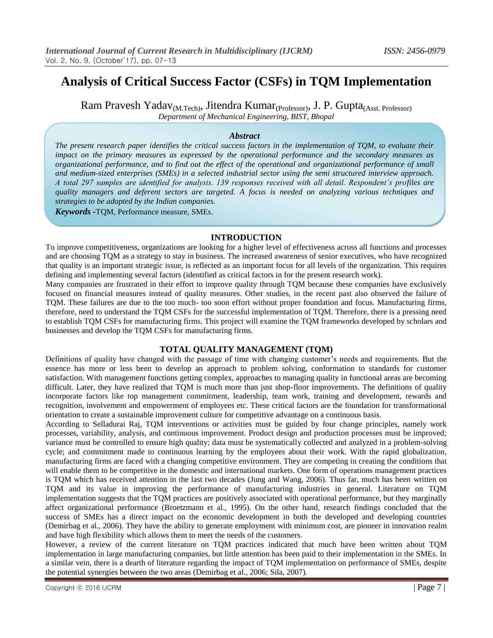# **Analysis of Critical Success Factor (CSFs) in TQM Implementation**

Ram Pravesh Yadav<sub>(M.Tech)</sub>, Jitendra Kumar<sub>(Professor)</sub>, J. P. Gupta<sub>(Asst. Professor)</sub> *Department of Mechanical Engineering, BIST, Bhopal*

### *Abstract*

*The present research paper identifies the critical success factors in the implementation of TQM, to evaluate their impact on the primary measures as expressed by the operational performance and the secondary measures as organizational performance, and to find out the effect of the operational and organizational performance of small and medium-sized enterprises (SMEs) in a selected industrial sector using the semi structured interview approach. A total 297 samples are identified for analysis. 139 responses received with all detail. Respondent's profiles are quality managers and deferent sectors are targeted. A focus is needed on analyzing various techniques and strategies to be adopted by the Indian companies.*

*Keywords -*TQM, Performance measure, SMEs.

### **INTRODUCTION**

To improve competitiveness, organizations are looking for a higher level of effectiveness across all functions and processes and are choosing TQM as a strategy to stay in business. The increased awareness of senior executives, who have recognized that quality is an important strategic issue, is reflected as an important focus for all levels of the organization. This requires defining and implementing several factors (identified as critical factors in for the present research work).

Many companies are frustrated in their effort to improve quality through TQM because these companies have exclusively focused on financial measures instead of quality measures. Other studies, in the recent past also observed the failure of TQM. These failures are due to the too much- too soon effort without proper foundation and focus. Manufacturing firms, therefore, need to understand the TQM CSFs for the successful implementation of TQM. Therefore, there is a pressing need to establish TQM CSFs for manufacturing firms. This project will examine the TQM frameworks developed by scholars and businesses and develop the TQM CSFs for manufacturing firms.

### **TOTAL QUALITY MANAGEMENT (TQM)**

Definitions of quality have changed with the passage of time with changing customer's needs and requirements. But the essence has more or less been to develop an approach to problem solving, conformation to standards for customer satisfaction. With management functions getting complex, approaches to managing quality in functional areas are becoming difficult. Later, they have realized that TOM is much more than just shop-floor improvements. The definitions of quality incorporate factors like top management commitment, leadership, team work, training and development, rewards and recognition, involvement and empowerment of employees etc. These critical factors are the foundation for transformational orientation to create a sustainable improvement culture for competitive advantage on a continuous basis.

According to Selladurai Raj, TQM interventions or activities must be guided by four change principles, namely work processes, variability, analysis, and continuous improvement. Product design and production processes must be improved; variance must be controlled to ensure high quality; data must be systematically collected and analyzed in a problem-solving cycle; and commitment made to continuous learning by the employees about their work. With the rapid globalization, manufacturing firms are faced with a changing competitive environment. They are competing in creating the conditions that will enable them to be competitive in the domestic and international markets. One form of operations management practices is TQM which has received attention in the last two decades (Jung and Wang, 2006). Thus far, much has been written on TQM and its value in improving the performance of manufacturing industries in general. Literature on TQM implementation suggests that the TQM practices are positively associated with operational performance, but they marginally affect organizational performance (Broetzmann et al., 1995). On the other hand, research findings concluded that the success of SMEs has a direct impact on the economic development in both the developed and developing countries (Demirbag et al., 2006). They have the ability to generate employment with minimum cost, are pioneer in innovation realm and have high flexibility which allows them to meet the needs of the customers.

However, a review of the current literature on TQM practices indicated that much have been written about TQM implementation in large manufacturing companies, but little attention has been paid to their implementation in the SMEs. In a similar vein, there is a dearth of literature regarding the impact of TQM implementation on performance of SMEs, despite the potential synergies between the two areas (Demirbag et al., 2006; Sila, 2007).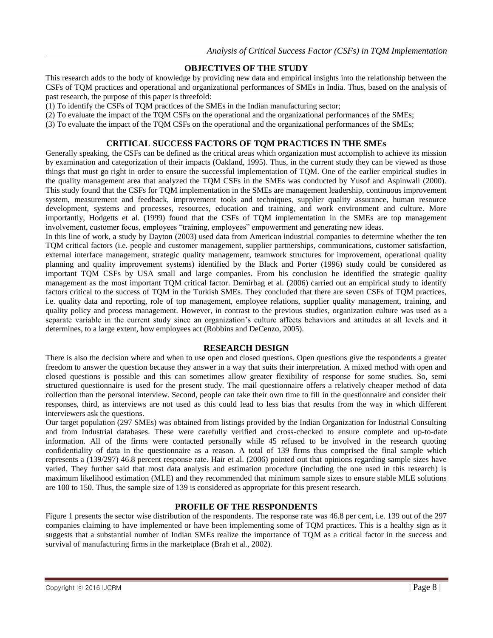### **OBJECTIVES OF THE STUDY**

This research adds to the body of knowledge by providing new data and empirical insights into the relationship between the CSFs of TQM practices and operational and organizational performances of SMEs in India. Thus, based on the analysis of past research, the purpose of this paper is threefold:

(1) To identify the CSFs of TQM practices of the SMEs in the Indian manufacturing sector;

(2) To evaluate the impact of the TQM CSFs on the operational and the organizational performances of the SMEs;

(3) To evaluate the impact of the TQM CSFs on the operational and the organizational performances of the SMEs;

### **CRITICAL SUCCESS FACTORS OF TQM PRACTICES IN THE SMEs**

Generally speaking, the CSFs can be defined as the critical areas which organization must accomplish to achieve its mission by examination and categorization of their impacts (Oakland, 1995). Thus, in the current study they can be viewed as those things that must go right in order to ensure the successful implementation of TQM. One of the earlier empirical studies in the quality management area that analyzed the TQM CSFs in the SMEs was conducted by Yusof and Aspinwall (2000). This study found that the CSFs for TQM implementation in the SMEs are management leadership, continuous improvement system, measurement and feedback, improvement tools and techniques, supplier quality assurance, human resource development, systems and processes, resources, education and training, and work environment and culture. More importantly, Hodgetts et al. (1999) found that the CSFs of TQM implementation in the SMEs are top management involvement, customer focus, employees "training, employees" empowerment and generating new ideas.

In this line of work, a study by Dayton (2003) used data from American industrial companies to determine whether the ten TQM critical factors (i.e. people and customer management, supplier partnerships, communications, customer satisfaction, external interface management, strategic quality management, teamwork structures for improvement, operational quality planning and quality improvement systems) identified by the Black and Porter (1996) study could be considered as important TQM CSFs by USA small and large companies. From his conclusion he identified the strategic quality management as the most important TQM critical factor. Demirbag et al. (2006) carried out an empirical study to identify factors critical to the success of TQM in the Turkish SMEs. They concluded that there are seven CSFs of TQM practices, i.e. quality data and reporting, role of top management, employee relations, supplier quality management, training, and quality policy and process management. However, in contrast to the previous studies, organization culture was used as a separate variable in the current study since an organization's culture affects behaviors and attitudes at all levels and it determines, to a large extent, how employees act (Robbins and DeCenzo, 2005).

#### **RESEARCH DESIGN**

There is also the decision where and when to use open and closed questions. Open questions give the respondents a greater freedom to answer the question because they answer in a way that suits their interpretation. A mixed method with open and closed questions is possible and this can sometimes allow greater flexibility of response for some studies. So, semi structured questionnaire is used for the present study. The mail questionnaire offers a relatively cheaper method of data collection than the personal interview. Second, people can take their own time to fill in the questionnaire and consider their responses, third, as interviews are not used as this could lead to less bias that results from the way in which different interviewers ask the questions.

Our target population (297 SMEs) was obtained from listings provided by the Indian Organization for Industrial Consulting and from Industrial databases. These were carefully verified and cross-checked to ensure complete and up-to-date information. All of the firms were contacted personally while 45 refused to be involved in the research quoting confidentiality of data in the questionnaire as a reason. A total of 139 firms thus comprised the final sample which represents a (139/297) 46.8 percent response rate. Hair et al. (2006) pointed out that opinions regarding sample sizes have varied. They further said that most data analysis and estimation procedure (including the one used in this research) is maximum likelihood estimation (MLE) and they recommended that minimum sample sizes to ensure stable MLE solutions are 100 to 150. Thus, the sample size of 139 is considered as appropriate for this present research.

#### **PROFILE OF THE RESPONDENTS**

Figure 1 presents the sector wise distribution of the respondents. The response rate was 46.8 per cent, i.e. 139 out of the 297 companies claiming to have implemented or have been implementing some of TQM practices. This is a healthy sign as it suggests that a substantial number of Indian SMEs realize the importance of TQM as a critical factor in the success and survival of manufacturing firms in the marketplace (Brah et al., 2002).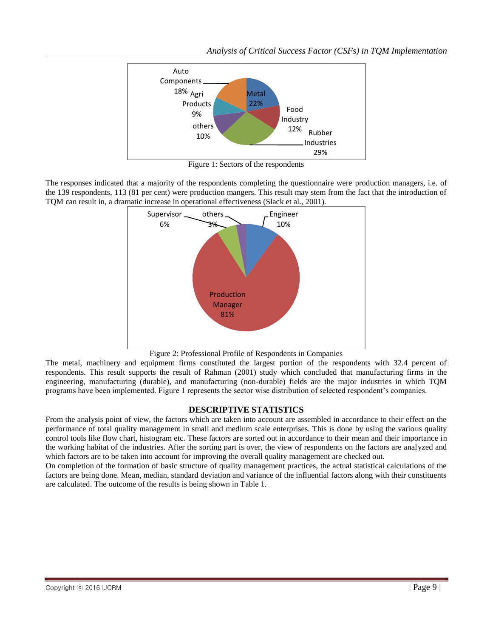*Analysis of Critical Success Factor (CSFs) in TQM Implementation*



Figure 1: Sectors of the respondents

The responses indicated that a majority of the respondents completing the questionnaire were production managers, i.e. of the 139 respondents, 113 (81 per cent) were production mangers. This result may stem from the fact that the introduction of TQM can result in, a dramatic increase in operational effectiveness (Slack et al., 2001).



Figure 2: Professional Profile of Respondents in Companies

The metal, machinery and equipment firms constituted the largest portion of the respondents with 32.4 percent of respondents. This result supports the result of Rahman (2001) study which concluded that manufacturing firms in the engineering, manufacturing (durable), and manufacturing (non-durable) fields are the major industries in which TQM programs have been implemented. Figure 1 represents the sector wise distribution of selected respondent's companies.

## **DESCRIPTIVE STATISTICS**

From the analysis point of view, the factors which are taken into account are assembled in accordance to their effect on the performance of total quality management in small and medium scale enterprises. This is done by using the various quality control tools like flow chart, histogram etc. These factors are sorted out in accordance to their mean and their importance in the working habitat of the industries. After the sorting part is over, the view of respondents on the factors are analyzed and which factors are to be taken into account for improving the overall quality management are checked out.

On completion of the formation of basic structure of quality management practices, the actual statistical calculations of the factors are being done. Mean, median, standard deviation and variance of the influential factors along with their constituents are calculated. The outcome of the results is being shown in Table 1.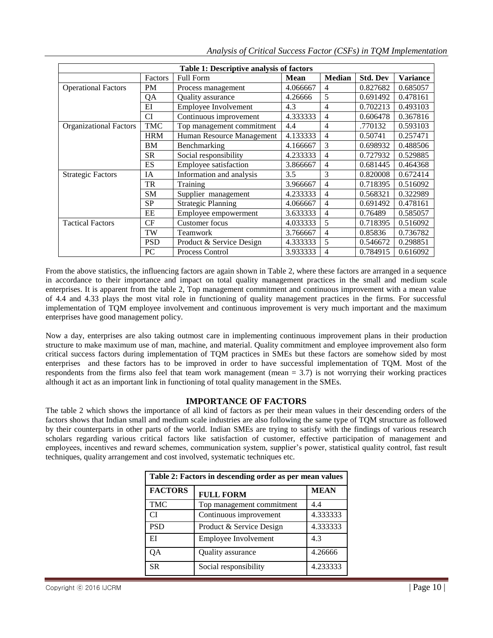| Table 1: Descriptive analysis of factors |            |                           |             |                |                 |                 |  |
|------------------------------------------|------------|---------------------------|-------------|----------------|-----------------|-----------------|--|
|                                          | Factors    | <b>Full Form</b>          | <b>Mean</b> | <b>Median</b>  | <b>Std. Dev</b> | <b>Variance</b> |  |
| <b>Operational Factors</b>               | <b>PM</b>  | Process management        | 4.066667    | 4              | 0.827682        | 0.685057        |  |
|                                          | QA         | Quality assurance         | 4.26666     | 5              | 0.691492        | 0.478161        |  |
|                                          | $E$ I      | Employee Involvement      | 4.3         | 4              | 0.702213        | 0.493103        |  |
|                                          | <b>CI</b>  | Continuous improvement    | 4.333333    | 4              | 0.606478        | 0.367816        |  |
| <b>Organizational Factors</b>            | <b>TMC</b> | Top management commitment | 4.4         | 4              | .770132         | 0.593103        |  |
|                                          | <b>HRM</b> | Human Resource Management | 4.133333    | $\overline{4}$ | 0.50741         | 0.257471        |  |
|                                          | <b>BM</b>  | Benchmarking              | 4.166667    | 3              | 0.698932        | 0.488506        |  |
|                                          | <b>SR</b>  | Social responsibility     | 4.233333    | 4              | 0.727932        | 0.529885        |  |
|                                          | ES         | Employee satisfaction     | 3.866667    | 4              | 0.681445        | 0.464368        |  |
| <b>Strategic Factors</b>                 | IA         | Information and analysis  | 3.5         | 3              | 0.820008        | 0.672414        |  |
|                                          | <b>TR</b>  | Training                  | 3.966667    | 4              | 0.718395        | 0.516092        |  |
|                                          | <b>SM</b>  | Supplier management       | 4.233333    | 4              | 0.568321        | 0.322989        |  |
|                                          | <b>SP</b>  | <b>Strategic Planning</b> | 4.066667    | 4              | 0.691492        | 0.478161        |  |
|                                          | EE         | Employee empowerment      | 3.633333    | 4              | 0.76489         | 0.585057        |  |
| <b>Tactical Factors</b>                  | CF         | Customer focus            | 4.033333    | 5              | 0.718395        | 0.516092        |  |
|                                          | TW         | Teamwork                  | 3.766667    | 4              | 0.85836         | 0.736782        |  |
|                                          | <b>PSD</b> | Product & Service Design  | 4.333333    | 5              | 0.546672        | 0.298851        |  |
|                                          | PC         | Process Control           | 3.933333    | 4              | 0.784915        | 0.616092        |  |

From the above statistics, the influencing factors are again shown in Table 2, where these factors are arranged in a sequence in accordance to their importance and impact on total quality management practices in the small and medium scale enterprises. It is apparent from the table 2, Top management commitment and continuous improvement with a mean value of 4.4 and 4.33 plays the most vital role in functioning of quality management practices in the firms. For successful implementation of TQM employee involvement and continuous improvement is very much important and the maximum enterprises have good management policy.

Now a day, enterprises are also taking outmost care in implementing continuous improvement plans in their production structure to make maximum use of man, machine, and material. Quality commitment and employee improvement also form critical success factors during implementation of TQM practices in SMEs but these factors are somehow sided by most enterprises and these factors has to be improved in order to have successful implementation of TQM. Most of the respondents from the firms also feel that team work management (mean = 3.7) is not worrying their working practices although it act as an important link in functioning of total quality management in the SMEs.

### **IMPORTANCE OF FACTORS**

The table 2 which shows the importance of all kind of factors as per their mean values in their descending orders of the factors shows that Indian small and medium scale industries are also following the same type of TQM structure as followed by their counterparts in other parts of the world. Indian SMEs are trying to satisfy with the findings of various research scholars regarding various critical factors like satisfaction of customer, effective participation of management and employees, incentives and reward schemes, communication system, supplier's power, statistical quality control, fast result techniques, quality arrangement and cost involved, systematic techniques etc.

| Table 2: Factors in descending order as per mean values |                           |             |  |  |  |
|---------------------------------------------------------|---------------------------|-------------|--|--|--|
| <b>FACTORS</b>                                          | <b>FULL FORM</b>          | <b>MEAN</b> |  |  |  |
| <b>TMC</b>                                              | Top management commitment | 4.4         |  |  |  |
| <b>CI</b>                                               | Continuous improvement    | 4.333333    |  |  |  |
| <b>PSD</b>                                              | Product & Service Design  | 4.333333    |  |  |  |
| ЕI                                                      | Employee Involvement      | 4.3         |  |  |  |
| ОA                                                      | Quality assurance         | 4.26666     |  |  |  |
| <b>SR</b>                                               | Social responsibility     | 4.233333    |  |  |  |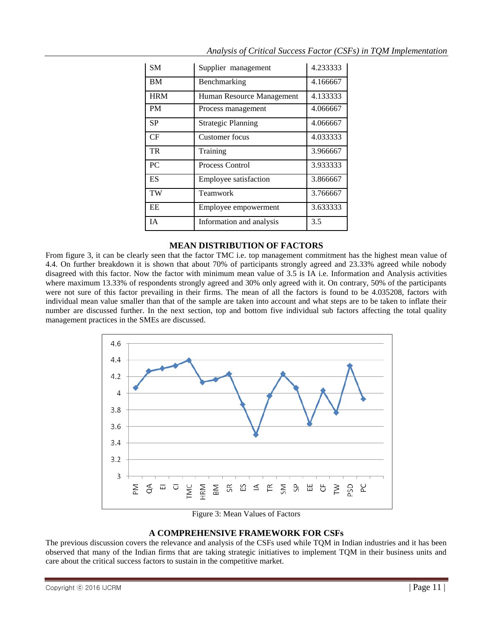| SM         | Supplier management          | 4.233333 |
|------------|------------------------------|----------|
| BM         | Benchmarking                 | 4.166667 |
| <b>HRM</b> | Human Resource Management    | 4.133333 |
| <b>PM</b>  | Process management           | 4.066667 |
| <b>SP</b>  | <b>Strategic Planning</b>    | 4.066667 |
| CF         | Customer focus               | 4.033333 |
| TR         | Training                     | 3.966667 |
| PC         | <b>Process Control</b>       | 3.933333 |
| ES         | <b>Employee satisfaction</b> | 3.866667 |
| TW         | Teamwork                     | 3.766667 |
| <b>EE</b>  | Employee empowerment         | 3.633333 |
| <b>IA</b>  | Information and analysis     | 3.5      |

### *Analysis of Critical Success Factor (CSFs) in TQM Implementation*

### **MEAN DISTRIBUTION OF FACTORS**

From figure 3, it can be clearly seen that the factor TMC i.e. top management commitment has the highest mean value of 4.4. On further breakdown it is shown that about 70% of participants strongly agreed and 23.33% agreed while nobody disagreed with this factor. Now the factor with minimum mean value of 3.5 is IA i.e. Information and Analysis activities where maximum 13.33% of respondents strongly agreed and 30% only agreed with it. On contrary, 50% of the participants were not sure of this factor prevailing in their firms. The mean of all the factors is found to be 4.035208, factors with individual mean value smaller than that of the sample are taken into account and what steps are to be taken to inflate their number are discussed further. In the next section, top and bottom five individual sub factors affecting the total quality management practices in the SMEs are discussed.



Figure 3: Mean Values of Factors

### **A COMPREHENSIVE FRAMEWORK FOR CSFs**

The previous discussion covers the relevance and analysis of the CSFs used while TQM in Indian industries and it has been observed that many of the Indian firms that are taking strategic initiatives to implement TQM in their business units and care about the critical success factors to sustain in the competitive market.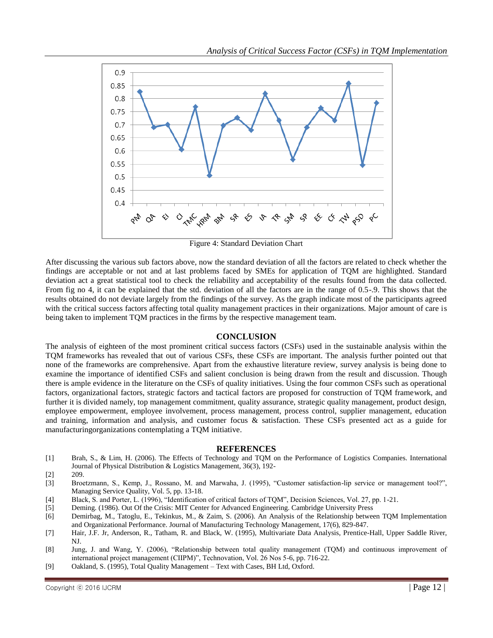

Figure 4: Standard Deviation Chart

After discussing the various sub factors above, now the standard deviation of all the factors are related to check whether the findings are acceptable or not and at last problems faced by SMEs for application of TQM are highlighted. Standard deviation act a great statistical tool to check the reliability and acceptability of the results found from the data collected. From fig no 4, it can be explained that the std. deviation of all the factors are in the range of 0.5-.9. This shows that the results obtained do not deviate largely from the findings of the survey. As the graph indicate most of the participants agreed with the critical success factors affecting total quality management practices in their organizations. Major amount of care is being taken to implement TQM practices in the firms by the respective management team.

#### **CONCLUSION**

The analysis of eighteen of the most prominent critical success factors (CSFs) used in the sustainable analysis within the TQM frameworks has revealed that out of various CSFs, these CSFs are important. The analysis further pointed out that none of the frameworks are comprehensive. Apart from the exhaustive literature review, survey analysis is being done to examine the importance of identified CSFs and salient conclusion is being drawn from the result and discussion. Though there is ample evidence in the literature on the CSFs of quality initiatives. Using the four common CSFs such as operational factors, organizational factors, strategic factors and tactical factors are proposed for construction of TQM framework, and further it is divided namely, top management commitment, quality assurance, strategic quality management, product design, employee empowerment, employee involvement, process management, process control, supplier management, education and training, information and analysis, and customer focus & satisfaction. These CSFs presented act as a guide for manufacturingorganizations contemplating a TQM initiative.

#### **REFERENCES**

- [1] Brah, S., & Lim, H. (2006). The Effects of Technology and TQM on the Performance of Logistics Companies. International Journal of Physical Distribution & Logistics Management, 36(3), 192-
- [2] 209.
- [3] Broetzmann, S., Kemp, J., Rossano, M. and Marwaha, J. (1995), "Customer satisfaction-lip service or management tool?", Managing Service Quality, Vol. 5, pp. 13-18.
- [4] Black, S. and Porter, L. (1996), "Identification of critical factors of TQM", Decision Sciences, Vol. 27, pp. 1-21.
- [5] Deming. (1986). Out Of the Crisis: MIT Center for Advanced Engineering. Cambridge University Press
- [6] Demirbag, M., Tatoglu, E., Tekinkus, M., & Zaim, S. (2006). An Analysis of the Relationship between TQM Implementation and Organizational Performance. Journal of Manufacturing Technology Management, 17(6), 829-847.
- [7] Hair, J.F. Jr, Anderson, R., Tatham, R. and Black, W. (1995), Multivariate Data Analysis, Prentice-Hall, Upper Saddle River, NJ.
- [8] Jung, J. and Wang, Y. (2006), "Relationship between total quality management (TQM) and continuous improvement of international project management (CIIPM)", Technovation, Vol. 26 Nos 5-6, pp. 716-22.
- [9] Oakland, S. (1995), Total Quality Management Text with Cases, BH Ltd, Oxford.